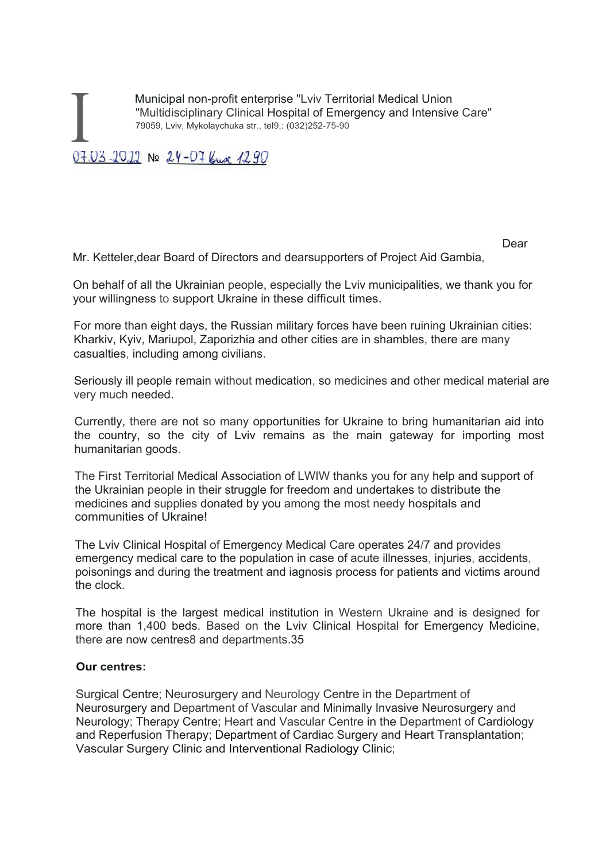Municipal non-profit enterprise "Lviv Territorial Medical Union<br>
"Multidisciplinary Clinical Hospital of Emergency and Intensiv<br>
79059, Lviv, Mykolaychuka str., tel9,: (032)252-75-90<br>
07.07.22.22 "Multidisciplinary Clinical Hospital of Emergency and Intensive Care" 79059, Lviv, Mykolaychuka str., tel9,: (032)252-75-90

dear and the contract of the contract of the contract of the contract of the contract of the contract of the c

Mr. Ketteler,dear Board of Directors and dearsupporters of Project Aid Gambia,

On behalf of all the Ukrainian people, especially the Lviv municipalities, we thank you for your willingness to support Ukraine in these difficult times.

For more than eight days, the Russian military forces have been ruining Ukrainian cities: Kharkiv, Kyiv, Mariupol, Zaporizhia and other cities are in shambles, there are many casualties, including among civilians.

Seriously ill people remain without medication, so medicines and other medical material are very much needed.

Currently, there are not so many opportunities for Ukraine to bring humanitarian aid into the country, so the city of Lviv remains as the main gateway for importing most humanitarian goods.

The First Territorial Medical Association of LWIW thanks you for any help and support of the Ukrainian people in their struggle for freedom and undertakes to distribute the medicines and supplies donated by you among the most needy hospitals and communities of Ukraine!

The Lviv Clinical Hospital of Emergency Medical Care operates 24/7 and provides emergency medical care to the population in case of acute illnesses, injuries, accidents, poisonings and during the treatment and iagnosis process for patients and victims around the clock.

The hospital is the largest medical institution in Western Ukraine and is designed for more than 1,400 beds. Based on the Lviv Clinical Hospital for Emergency Medicine, there are now centres8 and departments.35

## **Our centres:**

Surgical Centre; Neurosurgery and Neurology Centre in the Department of Neurosurgery and Department of Vascular and Minimally Invasive Neurosurgery and Neurology; Therapy Centre; Heart and Vascular Centre in the Department of Cardiology and Reperfusion Therapy; Department of Cardiac Surgery and Heart Transplantation; Vascular Surgery Clinic and Interventional Radiology Clinic;